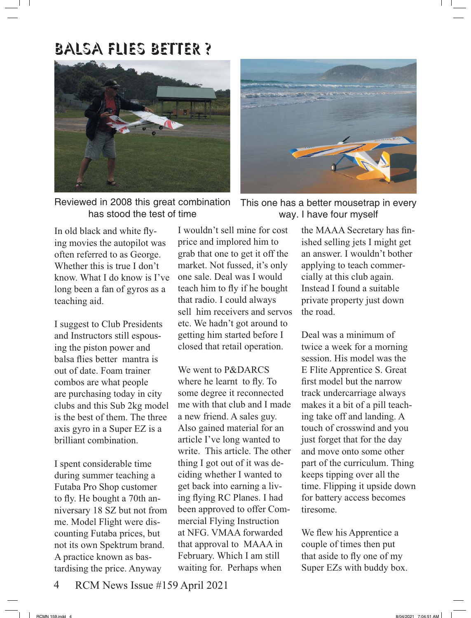

Reviewed in 2008 this great combination has stood the test of time

In old black and white flying movies the autopilot was often referred to as George. Whether this is true I don't know. What I do know is I've long been a fan of gyros as a teaching aid.

I suggest to Club Presidents and Instructors still espousing the piston power and balsa flies better mantra is out of date. Foam trainer combos are what people are purchasing today in city clubs and this Sub 2kg model is the best of them. The three axis gyro in a Super EZ is a brilliant combination.

I spent considerable time during summer teaching a Futaba Pro Shop customer to fly. He bought a 70th anniversary 18 SZ but not from me. Model Flight were discounting Futaba prices, but not its own Spektrum brand. A practice known as bastardising the price. Anyway

I wouldn't sell mine for cost price and implored him to grab that one to get it off the market. Not fussed, it's only one sale. Deal was I would teach him to fly if he bought that radio. I could always sell him receivers and servos etc. We hadn't got around to getting him started before I closed that retail operation.

We went to P&DARCS where he learnt to fly. To some degree it reconnected me with that club and I made a new friend. A sales guy. Also gained material for an article I've long wanted to write. This article. The other thing I got out of it was deciding whether I wanted to get back into earning a living flying RC Planes. I had been approved to offer Commercial Flying Instruction at NFG. VMAA forwarded that approval to MAAA in February. Which I am still waiting for. Perhaps when



This one has a better mousetrap in every way. I have four myself

the MAAA Secretary has finished selling jets I might get an answer. I wouldn't bother applying to teach commercially at this club again. Instead I found a suitable private property just down the road.

Deal was a minimum of twice a week for a morning session. His model was the E Flite Apprentice S. Great first model but the narrow track undercarriage always makes it a bit of a pill teaching take off and landing. A touch of crosswind and you just forget that for the day and move onto some other part of the curriculum. Thing keeps tipping over all the time. Flipping it upside down for battery access becomes tiresome.

We flew his Apprentice a couple of times then put that aside to fly one of my Super EZs with buddy box.

4 RCM News Issue #159 April 2021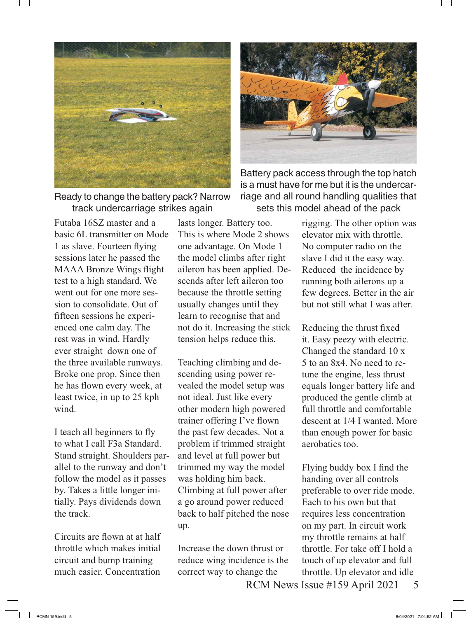

Ready to change the battery pack? Narrow track undercarriage strikes again

Futaba 16SZ master and a basic 6L transmitter on Mode 1 as slave. Fourteen flying sessions later he passed the MAAA Bronze Wings flight test to a high standard. We went out for one more session to consolidate. Out of fifteen sessions he experienced one calm day. The rest was in wind. Hardly ever straight down one of the three available runways. Broke one prop. Since then he has flown every week, at least twice, in up to 25 kph wind.

I teach all beginners to fly to what I call F3a Standard. Stand straight. Shoulders parallel to the runway and don't follow the model as it passes by. Takes a little longer initially. Pays dividends down the track.

Circuits are flown at at half throttle which makes initial circuit and bump training much easier. Concentration

lasts longer. Battery too. This is where Mode 2 shows one advantage. On Mode 1 the model climbs after right aileron has been applied. Descends after left aileron too because the throttle setting usually changes until they learn to recognise that and not do it. Increasing the stick tension helps reduce this.

Teaching climbing and descending using power revealed the model setup was not ideal. Just like every other modern high powered trainer offering I've flown the past few decades. Not a problem if trimmed straight and level at full power but trimmed my way the model was holding him back. Climbing at full power after a go around power reduced back to half pitched the nose up.

Increase the down thrust or reduce wing incidence is the correct way to change the

Battery pack access through the top hatch is a must have for me but it is the undercarriage and all round handling qualities that sets this model ahead of the pack

> rigging. The other option was elevator mix with throttle. No computer radio on the slave I did it the easy way. Reduced the incidence by running both ailerons up a few degrees. Better in the air but not still what I was after.

> Reducing the thrust fixed it. Easy peezy with electric. Changed the standard 10 x 5 to an 8x4. No need to retune the engine, less thrust equals longer battery life and produced the gentle climb at full throttle and comfortable descent at 1/4 I wanted. More than enough power for basic aerobatics too.

Flying buddy box I find the handing over all controls preferable to over ride mode. Each to his own but that requires less concentration on my part. In circuit work my throttle remains at half throttle. For take off I hold a touch of up elevator and full throttle. Up elevator and idle

RCM News Issue #159 April 2021 5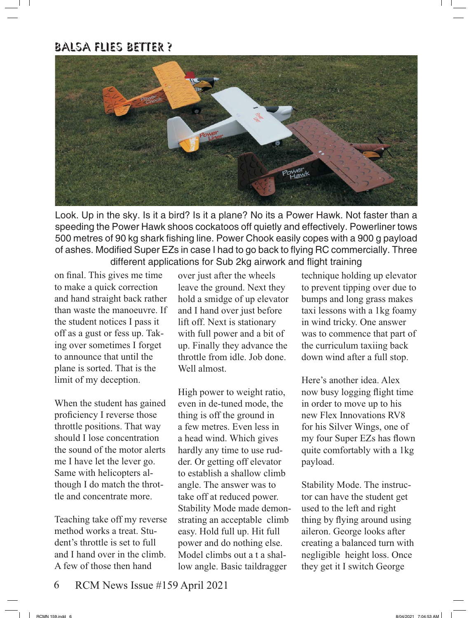

Look. Up in the sky. Is it a bird? Is it a plane? No its a Power Hawk. Not faster than a speeding the Power Hawk shoos cockatoos off quietly and effectively. Powerliner tows 500 metres of 90 kg shark fishing line. Power Chook easily copes with a 900 g payload of ashes. Modified Super EZs in case I had to go back to flying RC commercially. Three different applications for Sub 2kg airwork and flight training

on final. This gives me time to make a quick correction and hand straight back rather than waste the manoeuvre. If the student notices I pass it off as a gust or fess up. Taking over sometimes I forget to announce that until the plane is sorted. That is the limit of my deception.

When the student has gained proficiency I reverse those throttle positions. That way should I lose concentration the sound of the motor alerts me I have let the lever go. Same with helicopters although I do match the throttle and concentrate more.

Teaching take off my reverse method works a treat. Student's throttle is set to full and I hand over in the climb. A few of those then hand

over just after the wheels leave the ground. Next they hold a smidge of up elevator and I hand over just before lift off. Next is stationary with full power and a bit of up. Finally they advance the throttle from idle. Job done. Well almost.

High power to weight ratio, even in de-tuned mode, the thing is off the ground in a few metres. Even less in a head wind. Which gives hardly any time to use rudder. Or getting off elevator to establish a shallow climb angle. The answer was to take off at reduced power. Stability Mode made demonstrating an acceptable climb easy. Hold full up. Hit full power and do nothing else. Model climbs out a t a shallow angle. Basic taildragger

technique holding up elevator to prevent tipping over due to bumps and long grass makes taxi lessons with a 1kg foamy in wind tricky. One answer was to commence that part of the curriculum taxiing back down wind after a full stop.

Here's another idea. Alex now busy logging flight time in order to move up to his new Flex Innovations RV8 for his Silver Wings, one of my four Super EZs has flown quite comfortably with a 1kg payload.

Stability Mode. The instructor can have the student get used to the left and right thing by flying around using aileron. George looks after creating a balanced turn with negligible height loss. Once they get it I switch George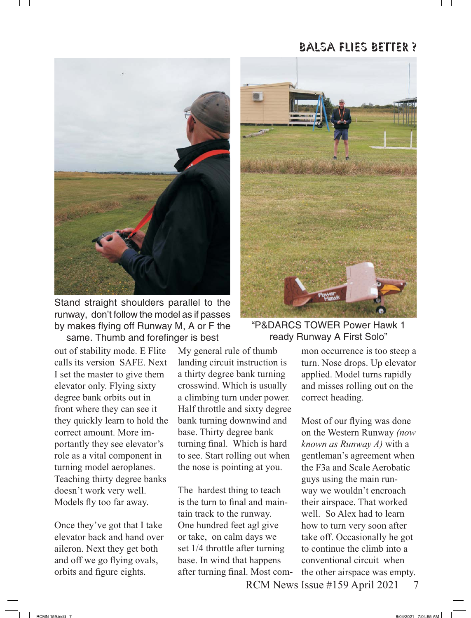

Stand straight shoulders parallel to the runway, don't follow the model as if passes by makes flying off Runway M, A or F the same. Thumb and forefinger is best

out of stability mode. E Flite calls its version SAFE. Next I set the master to give them elevator only. Flying sixty degree bank orbits out in front where they can see it they quickly learn to hold the correct amount. More importantly they see elevator's role as a vital component in turning model aeroplanes. Teaching thirty degree banks doesn't work very well. Models fly too far away.

Once they've got that I take elevator back and hand over aileron. Next they get both and off we go flying ovals, orbits and figure eights.

My general rule of thumb landing circuit instruction is a thirty degree bank turning crosswind. Which is usually a climbing turn under power. Half throttle and sixty degree bank turning downwind and base. Thirty degree bank turning final. Which is hard to see. Start rolling out when the nose is pointing at you.

The hardest thing to teach is the turn to final and maintain track to the runway. One hundred feet agl give or take, on calm days we set 1/4 throttle after turning base. In wind that happens after turning final. Most com-



"P&DARCS TOWER Power Hawk 1 ready Runway A First Solo"

mon occurrence is too steep a turn. Nose drops. Up elevator applied. Model turns rapidly and misses rolling out on the correct heading.

Most of our flying was done on the Western Runway *(now known as Runway A)* with a gentleman's agreement when the F3a and Scale Aerobatic guys using the main runway we wouldn't encroach their airspace. That worked well. So Alex had to learn how to turn very soon after take off. Occasionally he got to continue the climb into a conventional circuit when the other airspace was empty.

RCM News Issue #159 April 2021 7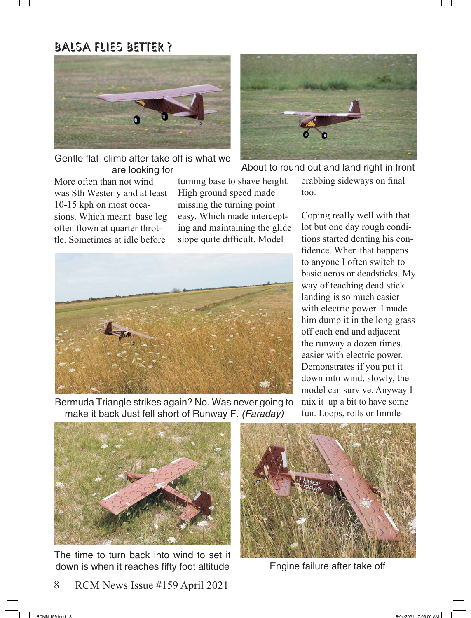

Gentle flat climb after take off is what we

More often than not wind was Sth Westerly and at least 10-15 kph on most occasions. Which meant base leg often flown at quarter throttle. Sometimes at idle before

turning base to shave height. High ground speed made missing the turning point easy. Which made intercepting and maintaining the glide slope quite difficult. Model



Bermuda Triangle strikes again? No. Was never going to make it back Just fell short of Runway F. (Faraday)



are looking for About to round out and land right in front crabbing sideways on final

too.

Coping really well with that lot but one day rough conditions started denting his confidence. When that happens to anyone I often switch to basic aeros or deadsticks. My way of teaching dead stick landing is so much easier with electric power. I made him dump it in the long grass off each end and adjacent the runway a dozen times. easier with electric power. Demonstrates if you put it down into wind, slowly, the model can survive. Anyway I mix it up a bit to have some fun. Loops, rolls or Immle-



The time to turn back into wind to set it down is when it reaches fifty foot altitude

8 RCM News Issue #159 April 2021



Engine failure after take off